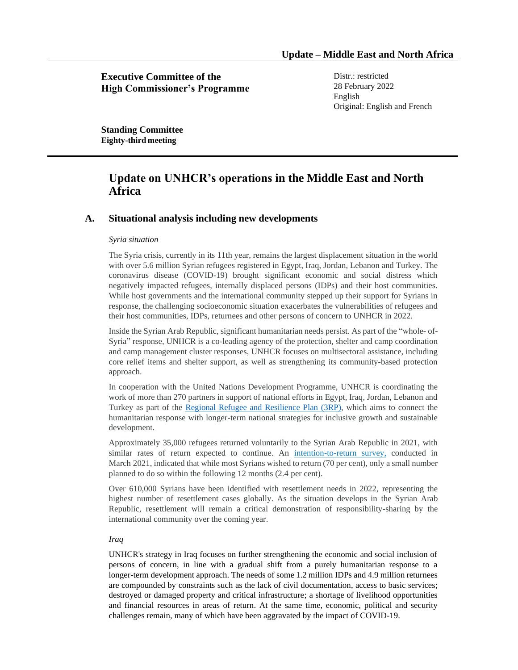**Executive Committee of the High Commissioner's Programme** Distr.: restricted 28 February 2022 English Original: English and French

**Standing Committee Eighty-third meeting**

# **Update on UNHCR's operations in the Middle East and North Africa**

## **A. Situational analysis including new developments**

### *Syria situation*

The Syria crisis, currently in its 11th year, remains the largest displacement situation in the world with over 5.6 million Syrian refugees registered in Egypt, Iraq, Jordan, Lebanon and Turkey. The coronavirus disease (COVID-19) brought significant economic and social distress which negatively impacted refugees, internally displaced persons (IDPs) and their host communities. While host governments and the international community stepped up their support for Syrians in response, the challenging socioeconomic situation exacerbates the vulnerabilities of refugees and their host communities, IDPs, returnees and other persons of concern to UNHCR in 2022.

Inside the Syrian Arab Republic, significant humanitarian needs persist. As part of the "whole- of-Syria" response, UNHCR is a co-leading agency of the protection, shelter and camp coordination and camp management cluster responses, UNHCR focuses on multisectoral assistance, including core relief items and shelter support, as well as strengthening its community-based protection approach.

In cooperation with the United Nations Development Programme, UNHCR is coordinating the work of more than 270 partners in support of national efforts in Egypt, Iraq, Jordan, Lebanon and Turkey as part of the [Regional Refugee and Resilience Plan \(3RP\),](https://www.3rpsyriacrisis.org/) which aims to connect the humanitarian response with longer-term national strategies for inclusive growth and sustainable development.

Approximately 35,000 refugees returned voluntarily to the Syrian Arab Republic in 2021, with similar rates of return expected to continue. An [intention-to-return](https://data2.unhcr.org/en/documents/details/85739) survey, conducted in March 2021, indicated that while most Syrians wished to return (70 per cent), only a small number planned to do so within the following 12 months (2.4 per cent).

Over 610,000 Syrians have been identified with resettlement needs in 2022, representing the highest number of resettlement cases globally. As the situation develops in the Syrian Arab Republic, resettlement will remain a critical demonstration of responsibility-sharing by the international community over the coming year.

## *Iraq*

UNHCR's strategy in Iraq focuses on further strengthening the economic and social inclusion of persons of concern, in line with a gradual shift from a purely humanitarian response to a longer-term development approach. The needs of some 1.2 million IDPs and 4.9 million returnees are compounded by constraints such as the lack of civil documentation, access to basic services; destroyed or damaged property and critical infrastructure; a shortage of livelihood opportunities and financial resources in areas of return. At the same time, economic, political and security challenges remain, many of which have been aggravated by the impact of COVID-19.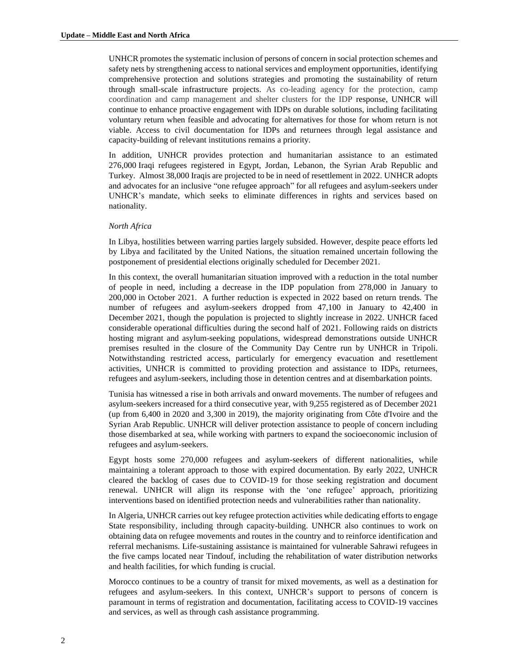UNHCR promotes the systematic inclusion of persons of concern in social protection schemes and safety nets by strengthening access to national services and employment opportunities, identifying comprehensive protection and solutions strategies and promoting the sustainability of return through small-scale infrastructure projects. As co-leading agency for the protection, camp coordination and camp management and shelter clusters for the IDP response, UNHCR will continue to enhance proactive engagement with IDPs on durable solutions, including facilitating voluntary return when feasible and advocating for alternatives for those for whom return is not viable. Access to civil documentation for IDPs and returnees through legal assistance and capacity-building of relevant institutions remains a priority.

In addition, UNHCR provides protection and humanitarian assistance to an estimated 276,000 Iraqi refugees registered in Egypt, Jordan, Lebanon, the Syrian Arab Republic and Turkey. Almost 38,000 Iraqis are projected to be in need of resettlement in 2022. UNHCR adopts and advocates for an inclusive "one refugee approach" for all refugees and asylum-seekers under UNHCR's mandate, which seeks to eliminate differences in rights and services based on nationality.

## *North Africa*

In Libya, hostilities between warring parties largely subsided. However, despite peace efforts led by Libya and facilitated by the United Nations, the situation remained uncertain following the postponement of presidential elections originally scheduled for December 2021.

In this context, the overall humanitarian situation improved with a reduction in the total number of people in need, including a decrease in the IDP population from 278,000 in January to 200,000 in October 2021. A further reduction is expected in 2022 based on return trends. The number of refugees and asylum-seekers dropped from 47,100 in January to 42,400 in December 2021, though the population is projected to slightly increase in 2022. UNHCR faced considerable operational difficulties during the second half of 2021. Following raids on districts hosting migrant and asylum-seeking populations, widespread demonstrations outside UNHCR premises resulted in the closure of the Community Day Centre run by UNHCR in Tripoli. Notwithstanding restricted access, particularly for emergency evacuation and resettlement activities, UNHCR is committed to providing protection and assistance to IDPs, returnees, refugees and asylum-seekers, including those in detention centres and at disembarkation points.

Tunisia has witnessed a rise in both arrivals and onward movements. The number of refugees and asylum-seekers increased for a third consecutive year, with 9,255 registered as of December 2021 (up from 6,400 in 2020 and 3,300 in 2019), the majority originating from Côte d'Ivoire and the Syrian Arab Republic. UNHCR will deliver protection assistance to people of concern including those disembarked at sea, while working with partners to expand the socioeconomic inclusion of refugees and asylum-seekers.

Egypt hosts some 270,000 refugees and asylum-seekers of different nationalities, while maintaining a tolerant approach to those with expired documentation. By early 2022, UNHCR cleared the backlog of cases due to COVID-19 for those seeking registration and document renewal. UNHCR will align its response with the 'one refugee' approach, prioritizing interventions based on identified protection needs and vulnerabilities rather than nationality.

In Algeria, UNHCR carries out key refugee protection activities while dedicating efforts to engage State responsibility, including through capacity-building. UNHCR also continues to work on obtaining data on refugee movements and routes in the country and to reinforce identification and referral mechanisms. Life-sustaining assistance is maintained for vulnerable Sahrawi refugees in the five camps located near Tindouf, including the rehabilitation of water distribution networks and health facilities, for which funding is crucial.

Morocco continues to be a country of transit for mixed movements, as well as a destination for refugees and asylum-seekers. In this context, UNHCR's support to persons of concern is paramount in terms of registration and documentation, facilitating access to COVID-19 vaccines and services, as well as through cash assistance programming.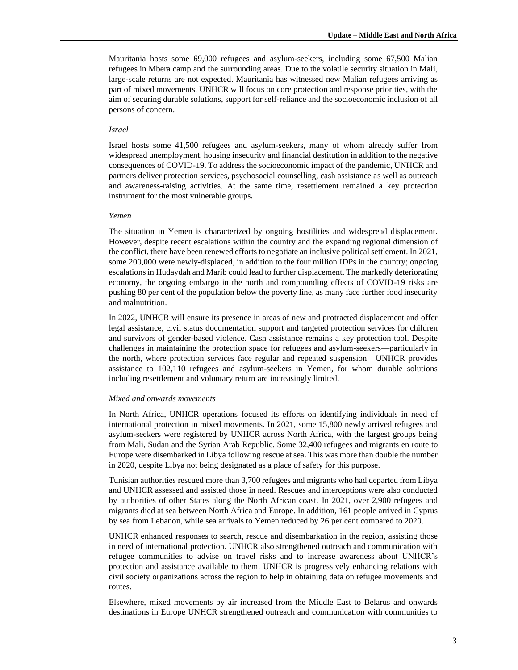Mauritania hosts some 69,000 refugees and asylum-seekers, including some 67,500 Malian refugees in Mbera camp and the surrounding areas. Due to the volatile security situation in Mali, large-scale returns are not expected. Mauritania has witnessed new Malian refugees arriving as part of mixed movements. UNHCR will focus on core protection and response priorities, with the aim of securing durable solutions, support for self-reliance and the socioeconomic inclusion of all persons of concern.

## *Israel*

Israel hosts some 41,500 refugees and asylum-seekers, many of whom already suffer from widespread unemployment, housing insecurity and financial destitution in addition to the negative consequences of COVID-19. To address the socioeconomic impact of the pandemic, UNHCR and partners deliver protection services, psychosocial counselling, cash assistance as well as outreach and awareness-raising activities. At the same time, resettlement remained a key protection instrument for the most vulnerable groups.

#### *Yemen*

The situation in Yemen is characterized by ongoing hostilities and widespread displacement. However, despite recent escalations within the country and the expanding regional dimension of the conflict, there have been renewed efforts to negotiate an inclusive political settlement. In 2021, some 200,000 were newly-displaced, in addition to the four million IDPs in the country; ongoing escalations in Hudaydah and Marib could lead to further displacement. The markedly deteriorating economy, the ongoing embargo in the north and compounding effects of COVID-19 risks are pushing 80 per cent of the population below the poverty line, as many face further food insecurity and malnutrition.

In 2022, UNHCR will ensure its presence in areas of new and protracted displacement and offer legal assistance, civil status documentation support and targeted protection services for children and survivors of gender-based violence. Cash assistance remains a key protection tool. Despite challenges in maintaining the protection space for refugees and asylum-seekers—particularly in the north, where protection services face regular and repeated suspension—UNHCR provides assistance to 102,110 refugees and asylum-seekers in Yemen, for whom durable solutions including resettlement and voluntary return are increasingly limited.

#### *Mixed and onwards movements*

In North Africa, UNHCR operations focused its efforts on identifying individuals in need of international protection in mixed movements. In 2021, some 15,800 newly arrived refugees and asylum-seekers were registered by UNHCR across North Africa, with the largest groups being from Mali, Sudan and the Syrian Arab Republic. Some 32,400 refugees and migrants en route to Europe were disembarked in Libya following rescue at sea. This was more than double the number in 2020, despite Libya not being designated as a place of safety for this purpose.

Tunisian authorities rescued more than 3,700 refugees and migrants who had departed from Libya and UNHCR assessed and assisted those in need. Rescues and interceptions were also conducted by authorities of other States along the North African coast. In 2021, over 2,900 refugees and migrants died at sea between North Africa and Europe. In addition, 161 people arrived in Cyprus by sea from Lebanon, while sea arrivals to Yemen reduced by 26 per cent compared to 2020.

UNHCR enhanced responses to search, rescue and disembarkation in the region, assisting those in need of international protection. UNHCR also strengthened outreach and communication with refugee communities to advise on travel risks and to increase awareness about UNHCR's protection and assistance available to them. UNHCR is progressively enhancing relations with civil society organizations across the region to help in obtaining data on refugee movements and routes.

Elsewhere, mixed movements by air increased from the Middle East to Belarus and onwards destinations in Europe UNHCR strengthened outreach and communication with communities to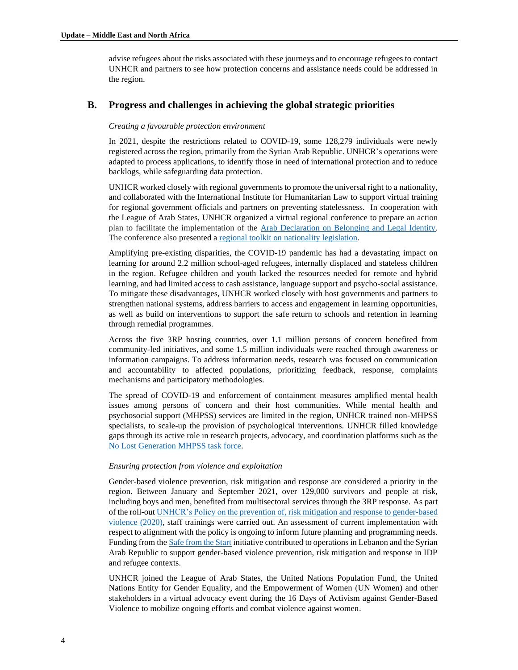advise refugees about the risks associated with these journeys and to encourage refugees to contact UNHCR and partners to see how protection concerns and assistance needs could be addressed in the region.

## **B. Progress and challenges in achieving the global strategic priorities**

## *Creating a favourable protection environment*

In 2021, despite the restrictions related to COVID-19, some 128,279 individuals were newly registered across the region, primarily from the Syrian Arab Republic. UNHCR's operations were adapted to process applications, to identify those in need of international protection and to reduce backlogs, while safeguarding data protection.

UNHCR worked closely with regional governments to promote the universal right to a nationality, and collaborated with the International Institute for Humanitarian Law to support virtual training for regional government officials and partners on preventing statelessness. In cooperation with the League of Arab States, UNHCR organized a virtual regional conference to prepare an action plan to facilitate the implementation of the [Arab Declaration on Belonging and Legal Identity.](https://www.unhcr.org/eg/wp-content/uploads/sites/36/2021/06/Final-Ministerial-Conference-Declaration-on-Belonging-and-Identity-English.pdf) The conference also presented a [regional toolkit on nationality legislation.](https://data2.unhcr.org/en/documents/details/86738#_ga=2.4530416.252249918.1643634539-910771746.1643634539)

Amplifying pre-existing disparities, the COVID-19 pandemic has had a devastating impact on learning for around 2.2 million school-aged refugees, internally displaced and stateless children in the region. Refugee children and youth lacked the resources needed for remote and hybrid learning, and had limited access to cash assistance, language support and psycho-social assistance. To mitigate these disadvantages, UNHCR worked closely with host governments and partners to strengthen national systems, address barriers to access and engagement in learning opportunities, as well as build on interventions to support the safe return to schools and retention in learning through remedial programmes.

Across the five 3RP hosting countries, over 1.1 million persons of concern benefited from community-led initiatives, and some 1.5 million individuals were reached through awareness or information campaigns. To address information needs, research was focused on communication and accountability to affected populations, prioritizing feedback, response, complaints mechanisms and participatory methodologies.

The spread of COVID-19 and enforcement of containment measures amplified mental health issues among persons of concern and their host communities. While mental health and psychosocial support (MHPSS) services are limited in the region, UNHCR trained non-MHPSS specialists, to scale-up the provision of psychological interventions. UNHCR filled knowledge gaps through its active role in research projects, advocacy, and coordination platforms such as the [No Lost Generation](https://www.nolostgeneration.org/stories/nlg-mhpss-regional-conference-mental-health-and-wellbeing-vulnerable-people-mena) MHPSS task force.

### *Ensuring protection from violence and exploitation*

Gender-based violence prevention, risk mitigation and response are considered a priority in the region. Between January and September 2021, over 129,000 survivors and people at risk, including boys and men, benefited from multisectoral services through the 3RP response. As part of the roll-ou[t UNHCR's Policy on the prevention of, risk mitigation and response to gender-based](https://www.unhcr.org/publications/brochures/5fa018914/unhcr-policy-prevention-risk-mitigation-response-gender-based-violence.html)  [violence \(2020\),](https://www.unhcr.org/publications/brochures/5fa018914/unhcr-policy-prevention-risk-mitigation-response-gender-based-violence.html) staff trainings were carried out. An assessment of current implementation with respect to alignment with the policy is ongoing to inform future planning and programming needs. Funding from th[e Safe from the Start](https://www.unhcr.org/protection/women/53f31c819/safe-start-project-information-sheet.html) initiative contributed to operations in Lebanon and the Syrian Arab Republic to support gender-based violence prevention, risk mitigation and response in IDP and refugee contexts.

UNHCR joined the League of Arab States, the United Nations Population Fund, the United Nations Entity for Gender Equality, and the Empowerment of Women (UN Women) and other stakeholders in a virtual advocacy event during the 16 Days of Activism against Gender-Based Violence to mobilize ongoing efforts and combat violence against women.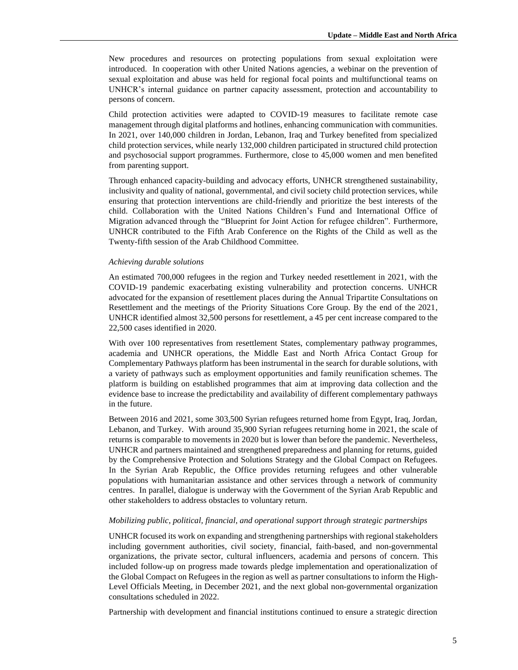New procedures and resources on protecting populations from sexual exploitation were introduced. In cooperation with other United Nations agencies, a webinar on the prevention of sexual exploitation and abuse was held for regional focal points and multifunctional teams on UNHCR's internal guidance on partner capacity assessment, protection and accountability to persons of concern.

Child protection activities were adapted to COVID-19 measures to facilitate remote case management through digital platforms and hotlines, enhancing communication with communities. In 2021, over 140,000 children in Jordan, Lebanon, Iraq and Turkey benefited from specialized child protection services, while nearly 132,000 children participated in structured child protection and psychosocial support programmes. Furthermore, close to 45,000 women and men benefited from parenting support.

Through enhanced capacity-building and advocacy efforts, UNHCR strengthened sustainability, inclusivity and quality of national, governmental, and civil society child protection services, while ensuring that protection interventions are child-friendly and prioritize the best interests of the child. Collaboration with the United Nations Children's Fund and International Office of Migration advanced through the "Blueprint for Joint Action for refugee children". Furthermore, UNHCR contributed to the Fifth Arab Conference on the Rights of the Child as well as the Twenty-fifth session of the Arab Childhood Committee.

#### *Achieving durable solutions*

An estimated 700,000 refugees in the region and Turkey needed resettlement in 2021, with the COVID-19 pandemic exacerbating existing vulnerability and protection concerns. UNHCR advocated for the expansion of resettlement places during the Annual Tripartite Consultations on Resettlement and the meetings of the Priority Situations Core Group. By the end of the 2021, UNHCR identified almost 32,500 persons for resettlement, a 45 per cent increase compared to the 22,500 cases identified in 2020.

With over 100 representatives from resettlement States, complementary pathway programmes, academia and UNHCR operations, the Middle East and North Africa Contact Group for Complementary Pathways platform has been instrumental in the search for durable solutions, with a variety of pathways such as employment opportunities and family reunification schemes. The platform is building on established programmes that aim at improving data collection and the evidence base to increase the predictability and availability of different complementary pathways in the future.

Between 2016 and 2021, some 303,500 Syrian refugees returned home from Egypt, Iraq, Jordan, Lebanon, and Turkey. With around 35,900 Syrian refugees returning home in 2021, the scale of returns is comparable to movements in 2020 but is lower than before the pandemic. Nevertheless, UNHCR and partners maintained and strengthened preparedness and planning for returns, guided by the Comprehensive Protection and Solutions Strategy and the Global Compact on Refugees. In the Syrian Arab Republic, the Office provides returning refugees and other vulnerable populations with humanitarian assistance and other services through a network of community centres. In parallel, dialogue is underway with the Government of the Syrian Arab Republic and other stakeholders to address obstacles to voluntary return.

## *Mobilizing public, political, financial, and operational support through strategic partnerships*

UNHCR focused its work on expanding and strengthening partnerships with regional stakeholders including government authorities, civil society, financial, faith-based, and non-governmental organizations, the private sector, cultural influencers, academia and persons of concern. This included follow-up on progress made towards pledge implementation and operationalization of the Global Compact on Refugees in the region as well as partner consultations to inform the High-Level Officials Meeting, in December 2021, and the next global non-governmental organization consultations scheduled in 2022.

Partnership with development and financial institutions continued to ensure a strategic direction